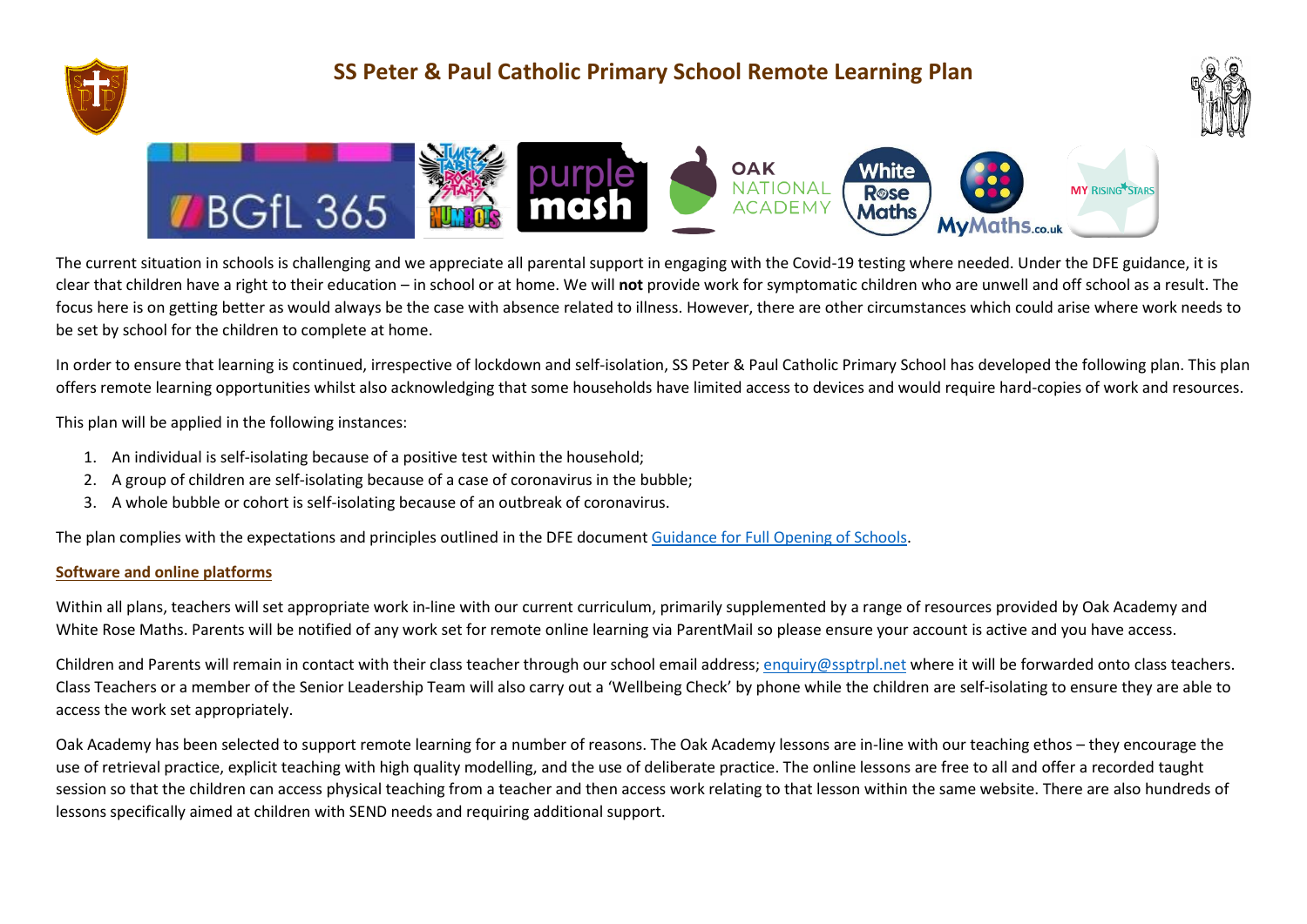

## **SS Peter & Paul Catholic Primary School Remote Learning Plan**





The current situation in schools is challenging and we appreciate all parental support in engaging with the Covid-19 testing where needed. Under the DFE guidance, it is clear that children have a right to their education – in school or at home. We will **not** provide work for symptomatic children who are unwell and off school as a result. The focus here is on getting better as would always be the case with absence related to illness. However, there are other circumstances which could arise where work needs to be set by school for the children to complete at home.

In order to ensure that learning is continued, irrespective of lockdown and self-isolation, SS Peter & Paul Catholic Primary School has developed the following plan. This plan offers remote learning opportunities whilst also acknowledging that some households have limited access to devices and would require hard-copies of work and resources.

This plan will be applied in the following instances:

- 1. An individual is self-isolating because of a positive test within the household;
- 2. A group of children are self-isolating because of a case of coronavirus in the bubble;
- 3. A whole bubble or cohort is self-isolating because of an outbreak of coronavirus.

The plan complies with the expectations and principles outlined in the DFE documen[t Guidance for Full Opening of Schools.](https://www.gov.uk/government/publications/actions-for-schools-during-the-coronavirus-outbreak/guidance-for-full-opening-schools#res)

## **Software and online platforms**

Within all plans, teachers will set appropriate work in-line with our current curriculum, primarily supplemented by a range of resources provided by Oak Academy and White Rose Maths. Parents will be notified of any work set for remote online learning via ParentMail so please ensure your account is active and you have access.

Children and Parents will remain in contact with their class teacher through our school email address; [enquiry@ssptrpl.net](mailto:enquiry@ssptrpl.net) where it will be forwarded onto class teachers. Class Teachers or a member of the Senior Leadership Team will also carry out a 'Wellbeing Check' by phone while the children are self-isolating to ensure they are able to access the work set appropriately.

Oak Academy has been selected to support remote learning for a number of reasons. The Oak Academy lessons are in-line with our teaching ethos – they encourage the use of retrieval practice, explicit teaching with high quality modelling, and the use of deliberate practice. The online lessons are free to all and offer a recorded taught session so that the children can access physical teaching from a teacher and then access work relating to that lesson within the same website. There are also hundreds of lessons specifically aimed at children with SEND needs and requiring additional support.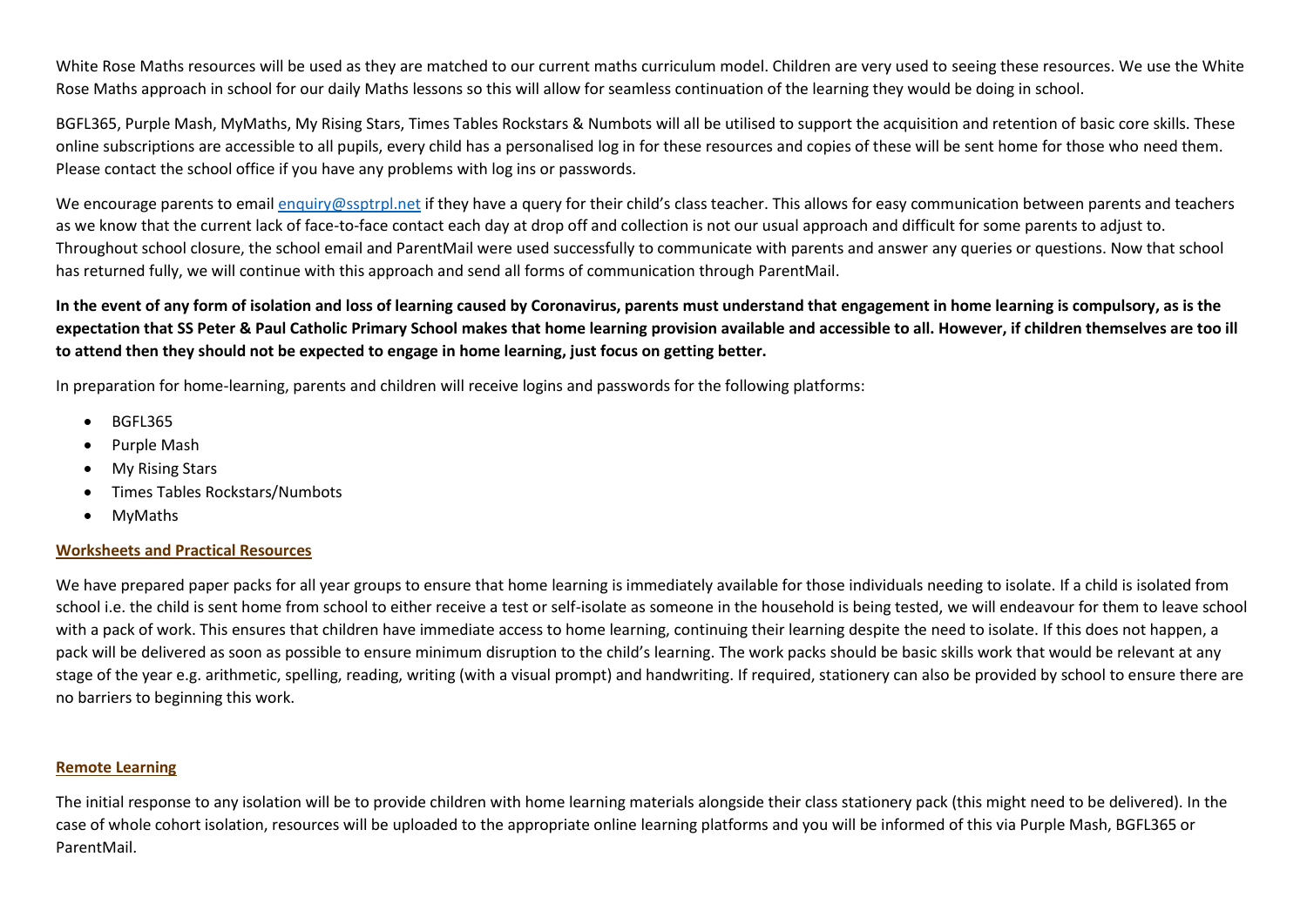White Rose Maths resources will be used as they are matched to our current maths curriculum model. Children are very used to seeing these resources. We use the White Rose Maths approach in school for our daily Maths lessons so this will allow for seamless continuation of the learning they would be doing in school.

BGFL365, Purple Mash, MyMaths, My Rising Stars, Times Tables Rockstars & Numbots will all be utilised to support the acquisition and retention of basic core skills. These online subscriptions are accessible to all pupils, every child has a personalised log in for these resources and copies of these will be sent home for those who need them. Please contact the school office if you have any problems with log ins or passwords.

We encourage parents to email [enquiry@ssptrpl.net](mailto:enquiry@ssptrpl.net) if they have a query for their child's class teacher. This allows for easy communication between parents and teachers as we know that the current lack of face-to-face contact each day at drop off and collection is not our usual approach and difficult for some parents to adjust to. Throughout school closure, the school email and ParentMail were used successfully to communicate with parents and answer any queries or questions. Now that school has returned fully, we will continue with this approach and send all forms of communication through ParentMail.

**In the event of any form of isolation and loss of learning caused by Coronavirus, parents must understand that engagement in home learning is compulsory, as is the expectation that SS Peter & Paul Catholic Primary School makes that home learning provision available and accessible to all. However, if children themselves are too ill to attend then they should not be expected to engage in home learning, just focus on getting better.**

In preparation for home-learning, parents and children will receive logins and passwords for the following platforms:

- BGFL365
- Purple Mash
- My Rising Stars
- Times Tables Rockstars/Numbots
- MyMaths

## **Worksheets and Practical Resources**

We have prepared paper packs for all year groups to ensure that home learning is immediately available for those individuals needing to isolate. If a child is isolated from school i.e. the child is sent home from school to either receive a test or self-isolate as someone in the household is being tested, we will endeavour for them to leave school with a pack of work. This ensures that children have immediate access to home learning, continuing their learning despite the need to isolate. If this does not happen, a pack will be delivered as soon as possible to ensure minimum disruption to the child's learning. The work packs should be basic skills work that would be relevant at any stage of the year e.g. arithmetic, spelling, reading, writing (with a visual prompt) and handwriting. If required, stationery can also be provided by school to ensure there are no barriers to beginning this work.

## **Remote Learning**

The initial response to any isolation will be to provide children with home learning materials alongside their class stationery pack (this might need to be delivered). In the case of whole cohort isolation, resources will be uploaded to the appropriate online learning platforms and you will be informed of this via Purple Mash, BGFL365 or ParentMail.